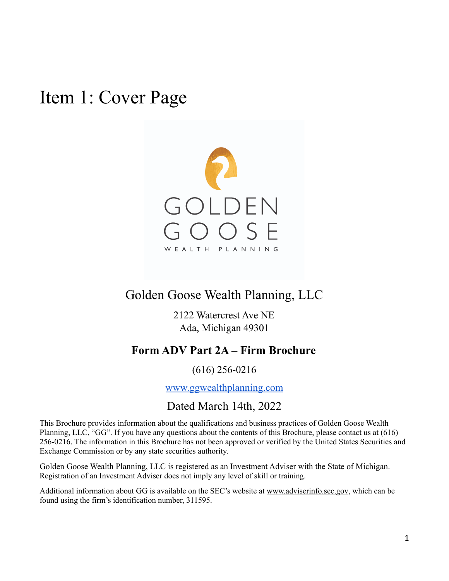<span id="page-0-0"></span>Item 1: Cover Page



## Golden Goose Wealth Planning, LLC

2122 Watercrest Ave NE Ada, Michigan 49301

## **Form ADV Part 2A – Firm Brochure**

### (616) 256-0216

[www.ggwealthplanning.com](http://www.ggwealthplanning.com)

## Dated March 14th, 2022

This Brochure provides information about the qualifications and business practices of Golden Goose Wealth Planning, LLC, "GG". If you have any questions about the contents of this Brochure, please contact us at (616) 256-0216. The information in this Brochure has not been approved or verified by the United States Securities and Exchange Commission or by any state securities authority.

Golden Goose Wealth Planning, LLC is registered as an Investment Adviser with the State of Michigan. Registration of an Investment Adviser does not imply any level of skill or training.

Additional information about GG is available on the SEC's website at [www.adviserinfo.sec.gov](http://www.adviserinfo.sec.gov), which can be found using the firm's identification number, 311595.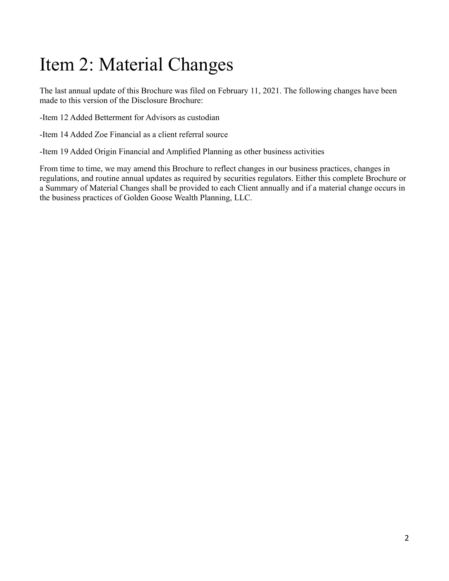# <span id="page-1-0"></span>Item 2: Material Changes

The last annual update of this Brochure was filed on February 11, 2021. The following changes have been made to this version of the Disclosure Brochure:

-Item 12 Added Betterment for Advisors as custodian

-Item 14 Added Zoe Financial as a client referral source

-Item 19 Added Origin Financial and Amplified Planning as other business activities

From time to time, we may amend this Brochure to reflect changes in our business practices, changes in regulations, and routine annual updates as required by securities regulators. Either this complete Brochure or a Summary of Material Changes shall be provided to each Client annually and if a material change occurs in the business practices of Golden Goose Wealth Planning, LLC.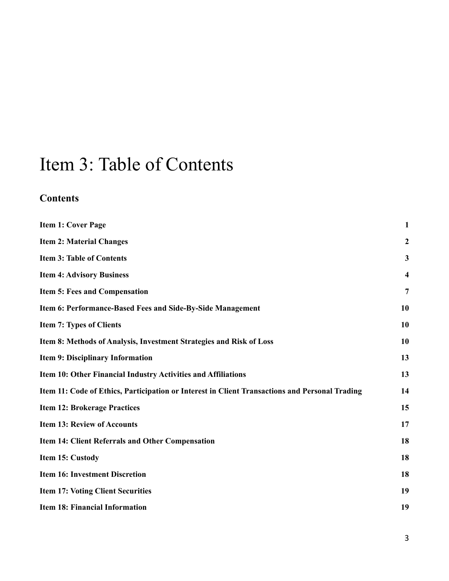# <span id="page-2-0"></span>Item 3: Table of Contents

## **Contents**

| <b>Item 1: Cover Page</b>                                                                      | $\mathbf{1}$            |
|------------------------------------------------------------------------------------------------|-------------------------|
| <b>Item 2: Material Changes</b>                                                                | $\boldsymbol{2}$        |
| <b>Item 3: Table of Contents</b>                                                               | $\mathbf{3}$            |
| <b>Item 4: Advisory Business</b>                                                               | $\overline{\mathbf{4}}$ |
| Item 5: Fees and Compensation                                                                  | $\overline{7}$          |
| Item 6: Performance-Based Fees and Side-By-Side Management                                     | 10                      |
| <b>Item 7: Types of Clients</b>                                                                | 10                      |
| Item 8: Methods of Analysis, Investment Strategies and Risk of Loss                            | 10                      |
| <b>Item 9: Disciplinary Information</b>                                                        | 13                      |
| Item 10: Other Financial Industry Activities and Affiliations                                  | 13                      |
| Item 11: Code of Ethics, Participation or Interest in Client Transactions and Personal Trading | 14                      |
| <b>Item 12: Brokerage Practices</b>                                                            | 15                      |
| <b>Item 13: Review of Accounts</b>                                                             | 17                      |
| <b>Item 14: Client Referrals and Other Compensation</b>                                        | 18                      |
| Item 15: Custody                                                                               | 18                      |
| <b>Item 16: Investment Discretion</b>                                                          | 18                      |
| <b>Item 17: Voting Client Securities</b>                                                       | 19                      |
| <b>Item 18: Financial Information</b>                                                          | 19                      |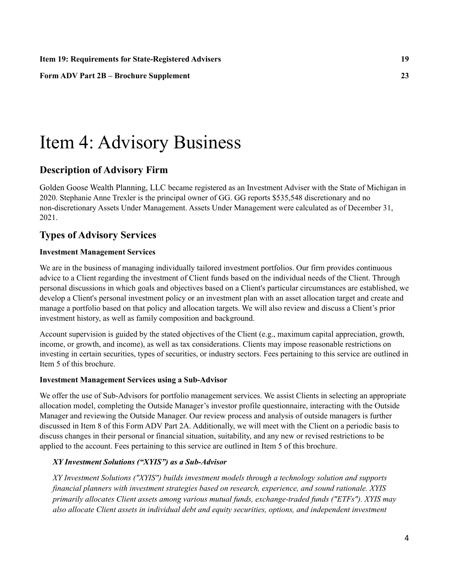**Item 19: Requirements for [State-Registered](#page-21-0) Advisers [19](#page-21-0)**

**Form ADV Part 2B – Brochure [Supplement](#page-24-0) [23](#page-24-0)**

# <span id="page-3-0"></span>Item 4: Advisory Business

### **Description of Advisory Firm**

Golden Goose Wealth Planning, LLC became registered as an Investment Adviser with the State of Michigan in 2020. Stephanie Anne Trexler is the principal owner of GG. GG reports \$535,548 discretionary and no non-discretionary Assets Under Management. Assets Under Management were calculated as of December 31, 2021.

### **Types of Advisory Services**

#### **Investment Management Services**

We are in the business of managing individually tailored investment portfolios. Our firm provides continuous advice to a Client regarding the investment of Client funds based on the individual needs of the Client. Through personal discussions in which goals and objectives based on a Client's particular circumstances are established, we develop a Client's personal investment policy or an investment plan with an asset allocation target and create and manage a portfolio based on that policy and allocation targets. We will also review and discuss a Client's prior investment history, as well as family composition and background.

Account supervision is guided by the stated objectives of the Client (e.g., maximum capital appreciation, growth, income, or growth, and income), as well as tax considerations. Clients may impose reasonable restrictions on investing in certain securities, types of securities, or industry sectors. Fees pertaining to this service are outlined in Item 5 of this brochure.

#### **Investment Management Services using a Sub-Advisor**

We offer the use of Sub-Advisors for portfolio management services. We assist Clients in selecting an appropriate allocation model, completing the Outside Manager's investor profile questionnaire, interacting with the Outside Manager and reviewing the Outside Manager. Our review process and analysis of outside managers is further discussed in Item 8 of this Form ADV Part 2A. Additionally, we will meet with the Client on a periodic basis to discuss changes in their personal or financial situation, suitability, and any new or revised restrictions to be applied to the account. Fees pertaining to this service are outlined in Item 5 of this brochure.

#### *XY Investment Solutions ("XYIS") as a Sub-Advisor*

*XY Investment Solutions ("XYIS") builds investment models through a technology solution and supports financial planners with investment strategies based on research, experience, and sound rationale. XYIS primarily allocates Client assets among various mutual funds, exchange-traded funds ("ETFs"). XYIS may also allocate Client assets in individual debt and equity securities, options, and independent investment*

4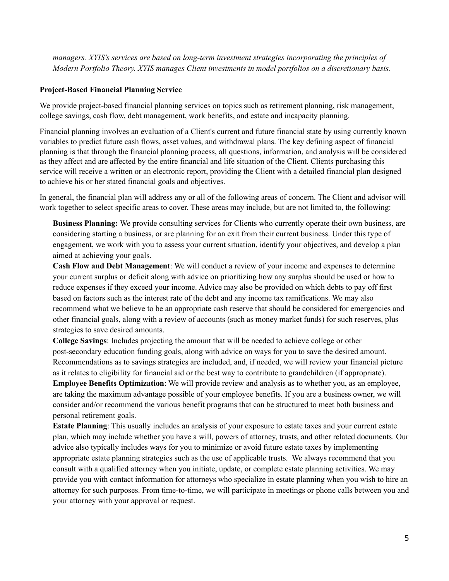*managers. XYIS's services are based on long-term investment strategies incorporating the principles of Modern Portfolio Theory. XYIS manages Client investments in model portfolios on a discretionary basis.*

#### **Project-Based Financial Planning Service**

We provide project-based financial planning services on topics such as retirement planning, risk management, college savings, cash flow, debt management, work benefits, and estate and incapacity planning.

Financial planning involves an evaluation of a Client's current and future financial state by using currently known variables to predict future cash flows, asset values, and withdrawal plans. The key defining aspect of financial planning is that through the financial planning process, all questions, information, and analysis will be considered as they affect and are affected by the entire financial and life situation of the Client. Clients purchasing this service will receive a written or an electronic report, providing the Client with a detailed financial plan designed to achieve his or her stated financial goals and objectives.

In general, the financial plan will address any or all of the following areas of concern. The Client and advisor will work together to select specific areas to cover. These areas may include, but are not limited to, the following:

**Business Planning:** We provide consulting services for Clients who currently operate their own business, are considering starting a business, or are planning for an exit from their current business. Under this type of engagement, we work with you to assess your current situation, identify your objectives, and develop a plan aimed at achieving your goals.

**Cash Flow and Debt Management**: We will conduct a review of your income and expenses to determine your current surplus or deficit along with advice on prioritizing how any surplus should be used or how to reduce expenses if they exceed your income. Advice may also be provided on which debts to pay off first based on factors such as the interest rate of the debt and any income tax ramifications. We may also recommend what we believe to be an appropriate cash reserve that should be considered for emergencies and other financial goals, along with a review of accounts (such as money market funds) for such reserves, plus strategies to save desired amounts.

**College Savings**: Includes projecting the amount that will be needed to achieve college or other post-secondary education funding goals, along with advice on ways for you to save the desired amount. Recommendations as to savings strategies are included, and, if needed, we will review your financial picture as it relates to eligibility for financial aid or the best way to contribute to grandchildren (if appropriate). **Employee Benefits Optimization**: We will provide review and analysis as to whether you, as an employee, are taking the maximum advantage possible of your employee benefits. If you are a business owner, we will consider and/or recommend the various benefit programs that can be structured to meet both business and personal retirement goals.

**Estate Planning**: This usually includes an analysis of your exposure to estate taxes and your current estate plan, which may include whether you have a will, powers of attorney, trusts, and other related documents. Our advice also typically includes ways for you to minimize or avoid future estate taxes by implementing appropriate estate planning strategies such as the use of applicable trusts. We always recommend that you consult with a qualified attorney when you initiate, update, or complete estate planning activities. We may provide you with contact information for attorneys who specialize in estate planning when you wish to hire an attorney for such purposes. From time-to-time, we will participate in meetings or phone calls between you and your attorney with your approval or request.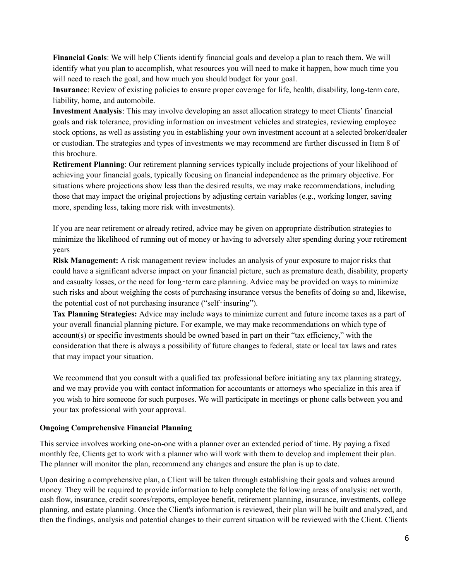**Financial Goals**: We will help Clients identify financial goals and develop a plan to reach them. We will identify what you plan to accomplish, what resources you will need to make it happen, how much time you will need to reach the goal, and how much you should budget for your goal.

**Insurance**: Review of existing policies to ensure proper coverage for life, health, disability, long-term care, liability, home, and automobile.

**Investment Analysis**: This may involve developing an asset allocation strategy to meet Clients' financial goals and risk tolerance, providing information on investment vehicles and strategies, reviewing employee stock options, as well as assisting you in establishing your own investment account at a selected broker/dealer or custodian. The strategies and types of investments we may recommend are further discussed in Item 8 of this brochure.

**Retirement Planning**: Our retirement planning services typically include projections of your likelihood of achieving your financial goals, typically focusing on financial independence as the primary objective. For situations where projections show less than the desired results, we may make recommendations, including those that may impact the original projections by adjusting certain variables (e.g., working longer, saving more, spending less, taking more risk with investments).

If you are near retirement or already retired, advice may be given on appropriate distribution strategies to minimize the likelihood of running out of money or having to adversely alter spending during your retirement years

**Risk Management:** A risk management review includes an analysis of your exposure to major risks that could have a significant adverse impact on your financial picture, such as premature death, disability, property and casualty losses, or the need for long-term care planning. Advice may be provided on ways to minimize such risks and about weighing the costs of purchasing insurance versus the benefits of doing so and, likewise, the potential cost of not purchasing insurance ("self‐insuring").

**Tax Planning Strategies:** Advice may include ways to minimize current and future income taxes as a part of your overall financial planning picture. For example, we may make recommendations on which type of account(s) or specific investments should be owned based in part on their "tax efficiency," with the consideration that there is always a possibility of future changes to federal, state or local tax laws and rates that may impact your situation.

We recommend that you consult with a qualified tax professional before initiating any tax planning strategy, and we may provide you with contact information for accountants or attorneys who specialize in this area if you wish to hire someone for such purposes. We will participate in meetings or phone calls between you and your tax professional with your approval.

### **Ongoing Comprehensive Financial Planning**

This service involves working one-on-one with a planner over an extended period of time. By paying a fixed monthly fee, Clients get to work with a planner who will work with them to develop and implement their plan. The planner will monitor the plan, recommend any changes and ensure the plan is up to date.

Upon desiring a comprehensive plan, a Client will be taken through establishing their goals and values around money. They will be required to provide information to help complete the following areas of analysis: net worth, cash flow, insurance, credit scores/reports, employee benefit, retirement planning, insurance, investments, college planning, and estate planning. Once the Client's information is reviewed, their plan will be built and analyzed, and then the findings, analysis and potential changes to their current situation will be reviewed with the Client. Clients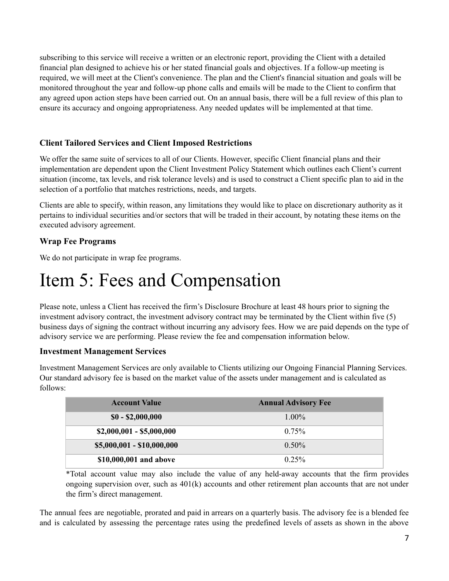subscribing to this service will receive a written or an electronic report, providing the Client with a detailed financial plan designed to achieve his or her stated financial goals and objectives. If a follow-up meeting is required, we will meet at the Client's convenience. The plan and the Client's financial situation and goals will be monitored throughout the year and follow-up phone calls and emails will be made to the Client to confirm that any agreed upon action steps have been carried out. On an annual basis, there will be a full review of this plan to ensure its accuracy and ongoing appropriateness. Any needed updates will be implemented at that time.

### **Client Tailored Services and Client Imposed Restrictions**

We offer the same suite of services to all of our Clients. However, specific Client financial plans and their implementation are dependent upon the Client Investment Policy Statement which outlines each Client's current situation (income, tax levels, and risk tolerance levels) and is used to construct a Client specific plan to aid in the selection of a portfolio that matches restrictions, needs, and targets.

Clients are able to specify, within reason, any limitations they would like to place on discretionary authority as it pertains to individual securities and/or sectors that will be traded in their account, by notating these items on the executed advisory agreement.

### **Wrap Fee Programs**

We do not participate in wrap fee programs.

# <span id="page-6-0"></span>Item 5: Fees and Compensation

Please note, unless a Client has received the firm's Disclosure Brochure at least 48 hours prior to signing the investment advisory contract, the investment advisory contract may be terminated by the Client within five (5) business days of signing the contract without incurring any advisory fees. How we are paid depends on the type of advisory service we are performing. Please review the fee and compensation information below.

### **Investment Management Services**

Investment Management Services are only available to Clients utilizing our Ongoing Financial Planning Services. Our standard advisory fee is based on the market value of the assets under management and is calculated as follows:

| <b>Account Value</b>       | <b>Annual Advisory Fee</b> |
|----------------------------|----------------------------|
| $$0 - $2,000,000$          | $1.00\%$                   |
| $$2,000,001 - $5,000,000$  | $0.75\%$                   |
| $$5,000,001 - $10,000,000$ | $0.50\%$                   |
| \$10,000,001 and above     | $0.25\%$                   |

\*Total account value may also include the value of any held-away accounts that the firm provides ongoing supervision over, such as 401(k) accounts and other retirement plan accounts that are not under the firm's direct management.

The annual fees are negotiable, prorated and paid in arrears on a quarterly basis. The advisory fee is a blended fee and is calculated by assessing the percentage rates using the predefined levels of assets as shown in the above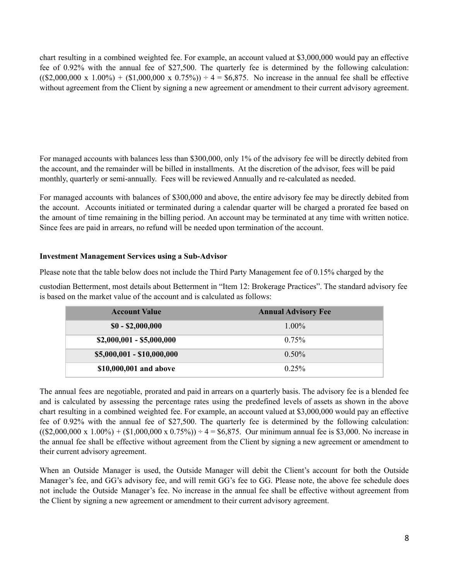chart resulting in a combined weighted fee. For example, an account valued at \$3,000,000 would pay an effective fee of 0.92% with the annual fee of \$27,500. The quarterly fee is determined by the following calculation:  $((\$2,000,000 \times 1.00\%) + (\$1,000,000 \times 0.75\%) \div 4 = \$6,875$ . No increase in the annual fee shall be effective without agreement from the Client by signing a new agreement or amendment to their current advisory agreement.

For managed accounts with balances less than \$300,000, only 1% of the advisory fee will be directly debited from the account, and the remainder will be billed in installments. At the discretion of the advisor, fees will be paid monthly, quarterly or semi-annually. Fees will be reviewed Annually and re-calculated as needed.

For managed accounts with balances of \$300,000 and above, the entire advisory fee may be directly debited from the account. Accounts initiated or terminated during a calendar quarter will be charged a prorated fee based on the amount of time remaining in the billing period. An account may be terminated at any time with written notice. Since fees are paid in arrears, no refund will be needed upon termination of the account.

### **Investment Management Services using a Sub-Advisor**

Please note that the table below does not include the Third Party Management fee of 0.15% charged by the

custodian Betterment, most details about Betterment in "Item 12: Brokerage Practices". The standard advisory fee is based on the market value of the account and is calculated as follows:

| <b>Account Value</b>       | <b>Annual Advisory Fee</b> |
|----------------------------|----------------------------|
| $$0 - $2,000,000$          | $1.00\%$                   |
| $$2,000,001 - $5,000,000$  | $0.75\%$                   |
| $$5,000,001 - $10,000,000$ | $0.50\%$                   |
| \$10,000,001 and above     | 0.25%                      |

The annual fees are negotiable, prorated and paid in arrears on a quarterly basis. The advisory fee is a blended fee and is calculated by assessing the percentage rates using the predefined levels of assets as shown in the above chart resulting in a combined weighted fee. For example, an account valued at \$3,000,000 would pay an effective fee of 0.92% with the annual fee of \$27,500. The quarterly fee is determined by the following calculation:  $((\$2,000,000 \times 1.00\%) + (\$1,000,000 \times 0.75\%) \div 4 = \$6,875$ . Our minimum annual fee is \$3,000. No increase in the annual fee shall be effective without agreement from the Client by signing a new agreement or amendment to their current advisory agreement.

When an Outside Manager is used, the Outside Manager will debit the Client's account for both the Outside Manager's fee, and GG's advisory fee, and will remit GG's fee to GG. Please note, the above fee schedule does not include the Outside Manager's fee. No increase in the annual fee shall be effective without agreement from the Client by signing a new agreement or amendment to their current advisory agreement.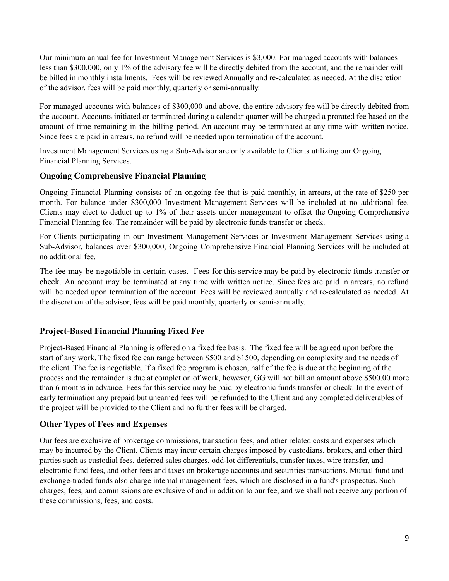Our minimum annual fee for Investment Management Services is \$3,000. For managed accounts with balances less than \$300,000, only 1% of the advisory fee will be directly debited from the account, and the remainder will be billed in monthly installments. Fees will be reviewed Annually and re-calculated as needed. At the discretion of the advisor, fees will be paid monthly, quarterly or semi-annually.

For managed accounts with balances of \$300,000 and above, the entire advisory fee will be directly debited from the account. Accounts initiated or terminated during a calendar quarter will be charged a prorated fee based on the amount of time remaining in the billing period. An account may be terminated at any time with written notice. Since fees are paid in arrears, no refund will be needed upon termination of the account.

Investment Management Services using a Sub-Advisor are only available to Clients utilizing our Ongoing Financial Planning Services.

### **Ongoing Comprehensive Financial Planning**

Ongoing Financial Planning consists of an ongoing fee that is paid monthly, in arrears, at the rate of \$250 per month. For balance under \$300,000 Investment Management Services will be included at no additional fee. Clients may elect to deduct up to 1% of their assets under management to offset the Ongoing Comprehensive Financial Planning fee. The remainder will be paid by electronic funds transfer or check.

For Clients participating in our Investment Management Services or Investment Management Services using a Sub-Advisor, balances over \$300,000, Ongoing Comprehensive Financial Planning Services will be included at no additional fee.

The fee may be negotiable in certain cases. Fees for this service may be paid by electronic funds transfer or check. An account may be terminated at any time with written notice. Since fees are paid in arrears, no refund will be needed upon termination of the account. Fees will be reviewed annually and re-calculated as needed. At the discretion of the advisor, fees will be paid monthly, quarterly or semi-annually.

### **Project-Based Financial Planning Fixed Fee**

Project-Based Financial Planning is offered on a fixed fee basis. The fixed fee will be agreed upon before the start of any work. The fixed fee can range between \$500 and \$1500, depending on complexity and the needs of the client. The fee is negotiable. If a fixed fee program is chosen, half of the fee is due at the beginning of the process and the remainder is due at completion of work, however, GG will not bill an amount above \$500.00 more than 6 months in advance. Fees for this service may be paid by electronic funds transfer or check. In the event of early termination any prepaid but unearned fees will be refunded to the Client and any completed deliverables of the project will be provided to the Client and no further fees will be charged.

### **Other Types of Fees and Expenses**

Our fees are exclusive of brokerage commissions, transaction fees, and other related costs and expenses which may be incurred by the Client. Clients may incur certain charges imposed by custodians, brokers, and other third parties such as custodial fees, deferred sales charges, odd-lot differentials, transfer taxes, wire transfer, and electronic fund fees, and other fees and taxes on brokerage accounts and securities transactions. Mutual fund and exchange-traded funds also charge internal management fees, which are disclosed in a fund's prospectus. Such charges, fees, and commissions are exclusive of and in addition to our fee, and we shall not receive any portion of these commissions, fees, and costs.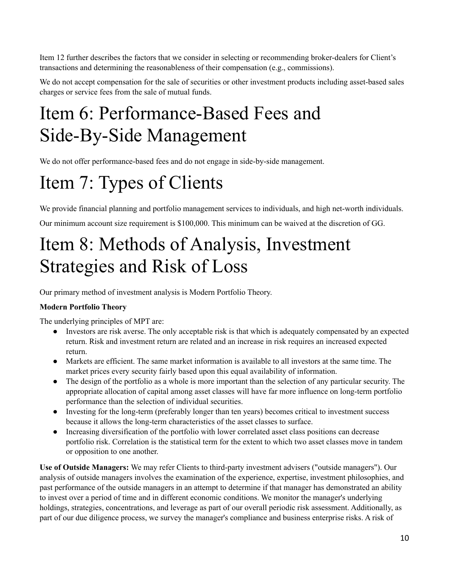Item 12 further describes the factors that we consider in selecting or recommending broker-dealers for Client's transactions and determining the reasonableness of their compensation (e.g., commissions).

We do not accept compensation for the sale of securities or other investment products including asset-based sales charges or service fees from the sale of mutual funds.

# <span id="page-9-0"></span>Item 6: Performance-Based Fees and Side-By-Side Management

We do not offer performance-based fees and do not engage in side-by-side management.

# <span id="page-9-1"></span>Item 7: Types of Clients

We provide financial planning and portfolio management services to individuals, and high net-worth individuals.

Our minimum account size requirement is \$100,000. This minimum can be waived at the discretion of GG.

# <span id="page-9-2"></span>Item 8: Methods of Analysis, Investment Strategies and Risk of Loss

Our primary method of investment analysis is Modern Portfolio Theory.

### **Modern Portfolio Theory**

The underlying principles of MPT are:

- Investors are risk averse. The only acceptable risk is that which is adequately compensated by an expected return. Risk and investment return are related and an increase in risk requires an increased expected return.
- Markets are efficient. The same market information is available to all investors at the same time. The market prices every security fairly based upon this equal availability of information.
- The design of the portfolio as a whole is more important than the selection of any particular security. The appropriate allocation of capital among asset classes will have far more influence on long-term portfolio performance than the selection of individual securities.
- Investing for the long-term (preferably longer than ten years) becomes critical to investment success because it allows the long-term characteristics of the asset classes to surface.
- Increasing diversification of the portfolio with lower correlated asset class positions can decrease portfolio risk. Correlation is the statistical term for the extent to which two asset classes move in tandem or opposition to one another.

**Use of Outside Managers:** We may refer Clients to third-party investment advisers ("outside managers"). Our analysis of outside managers involves the examination of the experience, expertise, investment philosophies, and past performance of the outside managers in an attempt to determine if that manager has demonstrated an ability to invest over a period of time and in different economic conditions. We monitor the manager's underlying holdings, strategies, concentrations, and leverage as part of our overall periodic risk assessment. Additionally, as part of our due diligence process, we survey the manager's compliance and business enterprise risks. A risk of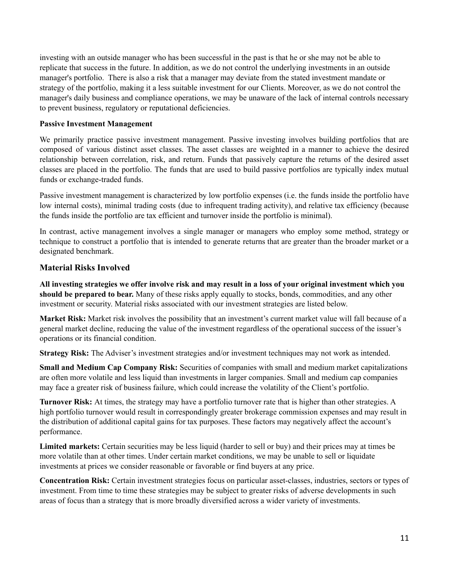investing with an outside manager who has been successful in the past is that he or she may not be able to replicate that success in the future. In addition, as we do not control the underlying investments in an outside manager's portfolio. There is also a risk that a manager may deviate from the stated investment mandate or strategy of the portfolio, making it a less suitable investment for our Clients. Moreover, as we do not control the manager's daily business and compliance operations, we may be unaware of the lack of internal controls necessary to prevent business, regulatory or reputational deficiencies.

#### **Passive Investment Management**

We primarily practice passive investment management. Passive investing involves building portfolios that are composed of various distinct asset classes. The asset classes are weighted in a manner to achieve the desired relationship between correlation, risk, and return. Funds that passively capture the returns of the desired asset classes are placed in the portfolio. The funds that are used to build passive portfolios are typically index mutual funds or exchange-traded funds.

Passive investment management is characterized by low portfolio expenses (i.e. the funds inside the portfolio have low internal costs), minimal trading costs (due to infrequent trading activity), and relative tax efficiency (because the funds inside the portfolio are tax efficient and turnover inside the portfolio is minimal).

In contrast, active management involves a single manager or managers who employ some method, strategy or technique to construct a portfolio that is intended to generate returns that are greater than the broader market or a designated benchmark.

### **Material Risks Involved**

All investing strategies we offer involve risk and may result in a loss of your original investment which you **should be prepared to bear.** Many of these risks apply equally to stocks, bonds, commodities, and any other investment or security. Material risks associated with our investment strategies are listed below.

**Market Risk:** Market risk involves the possibility that an investment's current market value will fall because of a general market decline, reducing the value of the investment regardless of the operational success of the issuer's operations or its financial condition.

**Strategy Risk:** The Adviser's investment strategies and/or investment techniques may not work as intended.

**Small and Medium Cap Company Risk:** Securities of companies with small and medium market capitalizations are often more volatile and less liquid than investments in larger companies. Small and medium cap companies may face a greater risk of business failure, which could increase the volatility of the Client's portfolio.

**Turnover Risk:** At times, the strategy may have a portfolio turnover rate that is higher than other strategies. A high portfolio turnover would result in correspondingly greater brokerage commission expenses and may result in the distribution of additional capital gains for tax purposes. These factors may negatively affect the account's performance.

**Limited markets:** Certain securities may be less liquid (harder to sell or buy) and their prices may at times be more volatile than at other times. Under certain market conditions, we may be unable to sell or liquidate investments at prices we consider reasonable or favorable or find buyers at any price.

**Concentration Risk:** Certain investment strategies focus on particular asset-classes, industries, sectors or types of investment. From time to time these strategies may be subject to greater risks of adverse developments in such areas of focus than a strategy that is more broadly diversified across a wider variety of investments.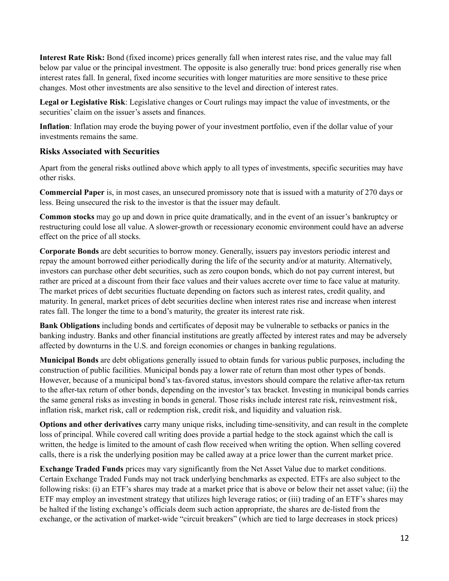**Interest Rate Risk:** Bond (fixed income) prices generally fall when interest rates rise, and the value may fall below par value or the principal investment. The opposite is also generally true: bond prices generally rise when interest rates fall. In general, fixed income securities with longer maturities are more sensitive to these price changes. Most other investments are also sensitive to the level and direction of interest rates.

**Legal or Legislative Risk**: Legislative changes or Court rulings may impact the value of investments, or the securities' claim on the issuer's assets and finances.

**Inflation**: Inflation may erode the buying power of your investment portfolio, even if the dollar value of your investments remains the same.

### **Risks Associated with Securities**

Apart from the general risks outlined above which apply to all types of investments, specific securities may have other risks.

**Commercial Paper** is, in most cases, an unsecured promissory note that is issued with a maturity of 270 days or less. Being unsecured the risk to the investor is that the issuer may default.

**Common stocks** may go up and down in price quite dramatically, and in the event of an issuer's bankruptcy or restructuring could lose all value. A slower-growth or recessionary economic environment could have an adverse effect on the price of all stocks.

**Corporate Bonds** are debt securities to borrow money. Generally, issuers pay investors periodic interest and repay the amount borrowed either periodically during the life of the security and/or at maturity. Alternatively, investors can purchase other debt securities, such as zero coupon bonds, which do not pay current interest, but rather are priced at a discount from their face values and their values accrete over time to face value at maturity. The market prices of debt securities fluctuate depending on factors such as interest rates, credit quality, and maturity. In general, market prices of debt securities decline when interest rates rise and increase when interest rates fall. The longer the time to a bond's maturity, the greater its interest rate risk.

**Bank Obligations** including bonds and certificates of deposit may be vulnerable to setbacks or panics in the banking industry. Banks and other financial institutions are greatly affected by interest rates and may be adversely affected by downturns in the U.S. and foreign economies or changes in banking regulations.

**Municipal Bonds** are debt obligations generally issued to obtain funds for various public purposes, including the construction of public facilities. Municipal bonds pay a lower rate of return than most other types of bonds. However, because of a municipal bond's tax-favored status, investors should compare the relative after-tax return to the after-tax return of other bonds, depending on the investor's tax bracket. Investing in municipal bonds carries the same general risks as investing in bonds in general. Those risks include interest rate risk, reinvestment risk, inflation risk, market risk, call or redemption risk, credit risk, and liquidity and valuation risk.

**Options and other derivatives** carry many unique risks, including time-sensitivity, and can result in the complete loss of principal. While covered call writing does provide a partial hedge to the stock against which the call is written, the hedge is limited to the amount of cash flow received when writing the option. When selling covered calls, there is a risk the underlying position may be called away at a price lower than the current market price.

**Exchange Traded Funds** prices may vary significantly from the Net Asset Value due to market conditions. Certain Exchange Traded Funds may not track underlying benchmarks as expected. ETFs are also subject to the following risks: (i) an ETF's shares may trade at a market price that is above or below their net asset value; (ii) the ETF may employ an investment strategy that utilizes high leverage ratios; or (iii) trading of an ETF's shares may be halted if the listing exchange's officials deem such action appropriate, the shares are de-listed from the exchange, or the activation of market-wide "circuit breakers" (which are tied to large decreases in stock prices)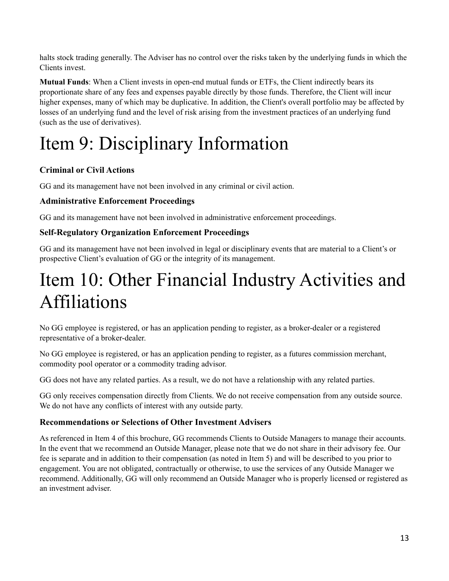halts stock trading generally. The Adviser has no control over the risks taken by the underlying funds in which the Clients invest.

**Mutual Funds**: When a Client invests in open-end mutual funds or ETFs, the Client indirectly bears its proportionate share of any fees and expenses payable directly by those funds. Therefore, the Client will incur higher expenses, many of which may be duplicative. In addition, the Client's overall portfolio may be affected by losses of an underlying fund and the level of risk arising from the investment practices of an underlying fund (such as the use of derivatives).

# <span id="page-12-0"></span>Item 9: Disciplinary Information

## **Criminal or Civil Actions**

GG and its management have not been involved in any criminal or civil action.

### **Administrative Enforcement Proceedings**

GG and its management have not been involved in administrative enforcement proceedings.

### **Self-Regulatory Organization Enforcement Proceedings**

GG and its management have not been involved in legal or disciplinary events that are material to a Client's or prospective Client's evaluation of GG or the integrity of its management.

# Item 10: Other Financial Industry Activities and Affiliations

No GG employee is registered, or has an application pending to register, as a broker-dealer or a registered representative of a broker-dealer.

No GG employee is registered, or has an application pending to register, as a futures commission merchant, commodity pool operator or a commodity trading advisor.

GG does not have any related parties. As a result, we do not have a relationship with any related parties.

GG only receives compensation directly from Clients. We do not receive compensation from any outside source. We do not have any conflicts of interest with any outside party.

### **Recommendations or Selections of Other Investment Advisers**

As referenced in Item 4 of this brochure, GG recommends Clients to Outside Managers to manage their accounts. In the event that we recommend an Outside Manager, please note that we do not share in their advisory fee. Our fee is separate and in addition to their compensation (as noted in Item 5) and will be described to you prior to engagement. You are not obligated, contractually or otherwise, to use the services of any Outside Manager we recommend. Additionally, GG will only recommend an Outside Manager who is properly licensed or registered as an investment adviser.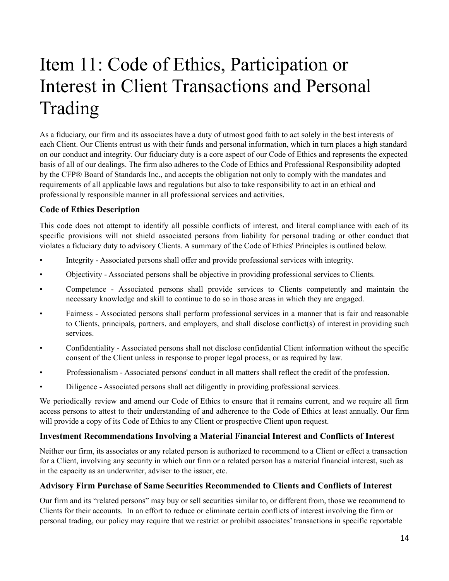# Item 11: Code of Ethics, Participation or Interest in Client Transactions and Personal Trading

<span id="page-13-0"></span>As a fiduciary, our firm and its associates have a duty of utmost good faith to act solely in the best interests of each Client. Our Clients entrust us with their funds and personal information, which in turn places a high standard on our conduct and integrity. Our fiduciary duty is a core aspect of our Code of Ethics and represents the expected basis of all of our dealings. The firm also adheres to the Code of Ethics and Professional Responsibility adopted by the CFP® Board of Standards Inc., and accepts the obligation not only to comply with the mandates and requirements of all applicable laws and regulations but also to take responsibility to act in an ethical and professionally responsible manner in all professional services and activities.

### **Code of Ethics Description**

This code does not attempt to identify all possible conflicts of interest, and literal compliance with each of its specific provisions will not shield associated persons from liability for personal trading or other conduct that violates a fiduciary duty to advisory Clients. A summary of the Code of Ethics' Principles is outlined below.

- Integrity Associated persons shall offer and provide professional services with integrity.
- Objectivity Associated persons shall be objective in providing professional services to Clients.
- Competence Associated persons shall provide services to Clients competently and maintain the necessary knowledge and skill to continue to do so in those areas in which they are engaged.
- Fairness Associated persons shall perform professional services in a manner that is fair and reasonable to Clients, principals, partners, and employers, and shall disclose conflict(s) of interest in providing such services.
- Confidentiality Associated persons shall not disclose confidential Client information without the specific consent of the Client unless in response to proper legal process, or as required by law.
- Professionalism Associated persons' conduct in all matters shall reflect the credit of the profession.
- Diligence Associated persons shall act diligently in providing professional services.

We periodically review and amend our Code of Ethics to ensure that it remains current, and we require all firm access persons to attest to their understanding of and adherence to the Code of Ethics at least annually. Our firm will provide a copy of its Code of Ethics to any Client or prospective Client upon request.

### **Investment Recommendations Involving a Material Financial Interest and Conflicts of Interest**

Neither our firm, its associates or any related person is authorized to recommend to a Client or effect a transaction for a Client, involving any security in which our firm or a related person has a material financial interest, such as in the capacity as an underwriter, adviser to the issuer, etc.

### **Advisory Firm Purchase of Same Securities Recommended to Clients and Conflicts of Interest**

Our firm and its "related persons" may buy or sell securities similar to, or different from, those we recommend to Clients for their accounts. In an effort to reduce or eliminate certain conflicts of interest involving the firm or personal trading, our policy may require that we restrict or prohibit associates' transactions in specific reportable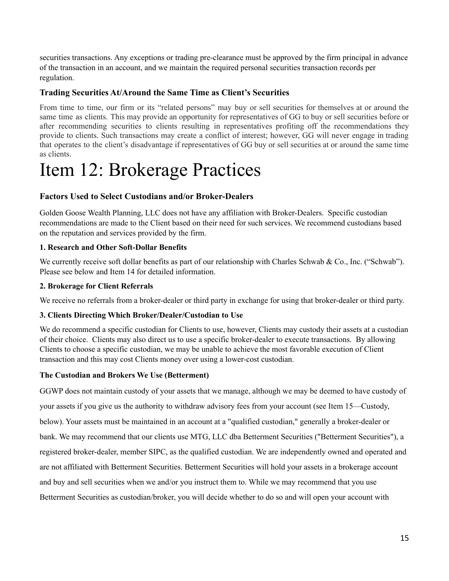securities transactions. Any exceptions or trading pre-clearance must be approved by the firm principal in advance of the transaction in an account, and we maintain the required personal securities transaction records per regulation.

### **Trading Securities At/Around the Same Time as Client's Securities**

From time to time, our firm or its "related persons" may buy or sell securities for themselves at or around the same time as clients. This may provide an opportunity for representatives of GG to buy or sell securities before or after recommending securities to clients resulting in representatives profiting off the recommendations they provide to clients. Such transactions may create a conflict of interest; however, GG will never engage in trading that operates to the client's disadvantage if representatives of GG buy or sell securities at or around the same time as clients.

# <span id="page-14-0"></span>Item 12: Brokerage Practices

### **Factors Used to Select Custodians and/or Broker-Dealers**

Golden Goose Wealth Planning, LLC does not have any affiliation with Broker-Dealers. Specific custodian recommendations are made to the Client based on their need for such services. We recommend custodians based on the reputation and services provided by the firm.

#### **1. Research and Other Soft-Dollar Benefits**

We currently receive soft dollar benefits as part of our relationship with Charles Schwab & Co., Inc. ("Schwab"). Please see below and Item 14 for detailed information.

#### **2. Brokerage for Client Referrals**

We receive no referrals from a broker-dealer or third party in exchange for using that broker-dealer or third party.

### **3. Clients Directing Which Broker/Dealer/Custodian to Use**

We do recommend a specific custodian for Clients to use, however, Clients may custody their assets at a custodian of their choice. Clients may also direct us to use a specific broker-dealer to execute transactions. By allowing Clients to choose a specific custodian, we may be unable to achieve the most favorable execution of Client transaction and this may cost Clients money over using a lower-cost custodian.

### **The Custodian and Brokers We Use (Betterment)**

GGWP does not maintain custody of your assets that we manage, although we may be deemed to have custody of your assets if you give us the authority to withdraw advisory fees from your account (see Item 15—Custody, below). Your assets must be maintained in an account at a "qualified custodian," generally a broker-dealer or bank. We may recommend that our clients use MTG, LLC dba Betterment Securities ("Betterment Securities"), a registered broker-dealer, member SIPC, as the qualified custodian. We are independently owned and operated and are not affiliated with Betterment Securities. Betterment Securities will hold your assets in a brokerage account and buy and sell securities when we and/or you instruct them to. While we may recommend that you use Betterment Securities as custodian/broker, you will decide whether to do so and will open your account with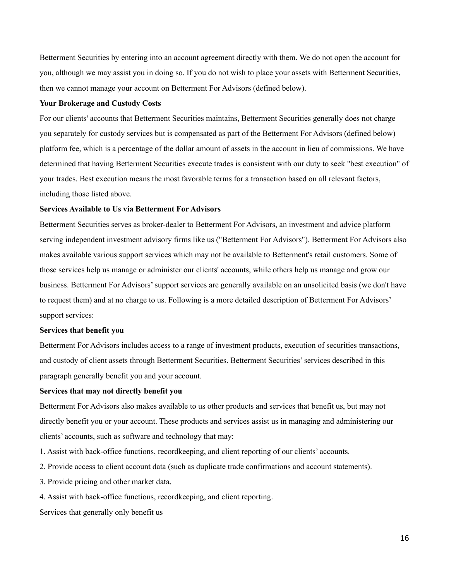Betterment Securities by entering into an account agreement directly with them. We do not open the account for you, although we may assist you in doing so. If you do not wish to place your assets with Betterment Securities, then we cannot manage your account on Betterment For Advisors (defined below).

#### **Your Brokerage and Custody Costs**

For our clients' accounts that Betterment Securities maintains, Betterment Securities generally does not charge you separately for custody services but is compensated as part of the Betterment For Advisors (defined below) platform fee, which is a percentage of the dollar amount of assets in the account in lieu of commissions. We have determined that having Betterment Securities execute trades is consistent with our duty to seek "best execution" of your trades. Best execution means the most favorable terms for a transaction based on all relevant factors, including those listed above.

#### **Services Available to Us via Betterment For Advisors**

Betterment Securities serves as broker-dealer to Betterment For Advisors, an investment and advice platform serving independent investment advisory firms like us ("Betterment For Advisors"). Betterment For Advisors also makes available various support services which may not be available to Betterment's retail customers. Some of those services help us manage or administer our clients' accounts, while others help us manage and grow our business. Betterment For Advisors'support services are generally available on an unsolicited basis (we don't have to request them) and at no charge to us. Following is a more detailed description of Betterment For Advisors' support services:

#### **Services that benefit you**

Betterment For Advisors includes access to a range of investment products, execution of securities transactions, and custody of client assets through Betterment Securities. Betterment Securities'services described in this paragraph generally benefit you and your account.

#### **Services that may not directly benefit you**

Betterment For Advisors also makes available to us other products and services that benefit us, but may not directly benefit you or your account. These products and services assist us in managing and administering our clients' accounts, such as software and technology that may:

- 1. Assist with back-office functions, recordkeeping, and client reporting of our clients' accounts.
- 2. Provide access to client account data (such as duplicate trade confirmations and account statements).
- 3. Provide pricing and other market data.
- 4. Assist with back-office functions, recordkeeping, and client reporting.

Services that generally only benefit us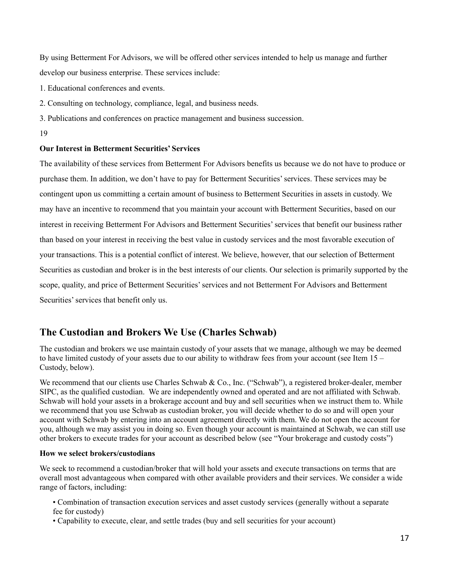By using Betterment For Advisors, we will be offered other services intended to help us manage and further develop our business enterprise. These services include:

- 1. Educational conferences and events.
- 2. Consulting on technology, compliance, legal, and business needs.
- 3. Publications and conferences on practice management and business succession.

#### 19

#### **Our Interest in Betterment Securities' Services**

The availability of these services from Betterment For Advisors benefits us because we do not have to produce or purchase them. In addition, we don't have to pay for Betterment Securities'services. These services may be contingent upon us committing a certain amount of business to Betterment Securities in assets in custody. We may have an incentive to recommend that you maintain your account with Betterment Securities, based on our interest in receiving Betterment For Advisors and Betterment Securities'services that benefit our business rather than based on your interest in receiving the best value in custody services and the most favorable execution of your transactions. This is a potential conflict of interest. We believe, however, that our selection of Betterment Securities as custodian and broker is in the best interests of our clients. Our selection is primarily supported by the scope, quality, and price of Betterment Securities'services and not Betterment For Advisors and Betterment Securities' services that benefit only us.

## **The Custodian and Brokers We Use (Charles Schwab)**

The custodian and brokers we use maintain custody of your assets that we manage, although we may be deemed to have limited custody of your assets due to our ability to withdraw fees from your account (see Item 15 – Custody, below).

We recommend that our clients use Charles Schwab & Co., Inc. ("Schwab"), a registered broker-dealer, member SIPC, as the qualified custodian. We are independently owned and operated and are not affiliated with Schwab. Schwab will hold your assets in a brokerage account and buy and sell securities when we instruct them to. While we recommend that you use Schwab as custodian broker, you will decide whether to do so and will open your account with Schwab by entering into an account agreement directly with them. We do not open the account for you, although we may assist you in doing so. Even though your account is maintained at Schwab, we can still use other brokers to execute trades for your account as described below (see "Your brokerage and custody costs")

#### **How we select brokers/custodians**

We seek to recommend a custodian/broker that will hold your assets and execute transactions on terms that are overall most advantageous when compared with other available providers and their services. We consider a wide range of factors, including:

- Combination of transaction execution services and asset custody services (generally without a separate fee for custody)
- Capability to execute, clear, and settle trades (buy and sell securities for your account)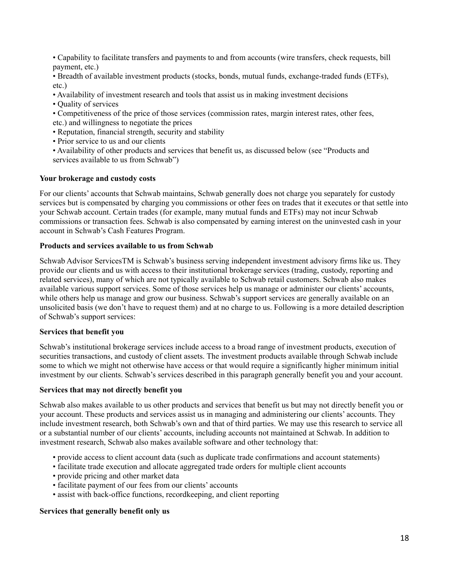• Capability to facilitate transfers and payments to and from accounts (wire transfers, check requests, bill payment, etc.)

• Breadth of available investment products (stocks, bonds, mutual funds, exchange-traded funds (ETFs), etc.)

• Availability of investment research and tools that assist us in making investment decisions

- Quality of services
- Competitiveness of the price of those services (commission rates, margin interest rates, other fees, etc.) and willingness to negotiate the prices
- Reputation, financial strength, security and stability
- Prior service to us and our clients
- Availability of other products and services that benefit us, as discussed below (see "Products and services available to us from Schwab")

#### **Your brokerage and custody costs**

For our clients' accounts that Schwab maintains, Schwab generally does not charge you separately for custody services but is compensated by charging you commissions or other fees on trades that it executes or that settle into your Schwab account. Certain trades (for example, many mutual funds and ETFs) may not incur Schwab commissions or transaction fees. Schwab is also compensated by earning interest on the uninvested cash in your account in Schwab's Cash Features Program.

#### **Products and services available to us from Schwab**

Schwab Advisor ServicesTM is Schwab's business serving independent investment advisory firms like us. They provide our clients and us with access to their institutional brokerage services (trading, custody, reporting and related services), many of which are not typically available to Schwab retail customers. Schwab also makes available various support services. Some of those services help us manage or administer our clients' accounts, while others help us manage and grow our business. Schwab's support services are generally available on an unsolicited basis (we don't have to request them) and at no charge to us. Following is a more detailed description of Schwab's support services:

#### **Services that benefit you**

Schwab's institutional brokerage services include access to a broad range of investment products, execution of securities transactions, and custody of client assets. The investment products available through Schwab include some to which we might not otherwise have access or that would require a significantly higher minimum initial investment by our clients. Schwab's services described in this paragraph generally benefit you and your account.

#### **Services that may not directly benefit you**

Schwab also makes available to us other products and services that benefit us but may not directly benefit you or your account. These products and services assist us in managing and administering our clients' accounts. They include investment research, both Schwab's own and that of third parties. We may use this research to service all or a substantial number of our clients' accounts, including accounts not maintained at Schwab. In addition to investment research, Schwab also makes available software and other technology that:

- provide access to client account data (such as duplicate trade confirmations and account statements)
- facilitate trade execution and allocate aggregated trade orders for multiple client accounts
- provide pricing and other market data
- facilitate payment of our fees from our clients' accounts
- assist with back-office functions, recordkeeping, and client reporting

#### **Services that generally benefit only us**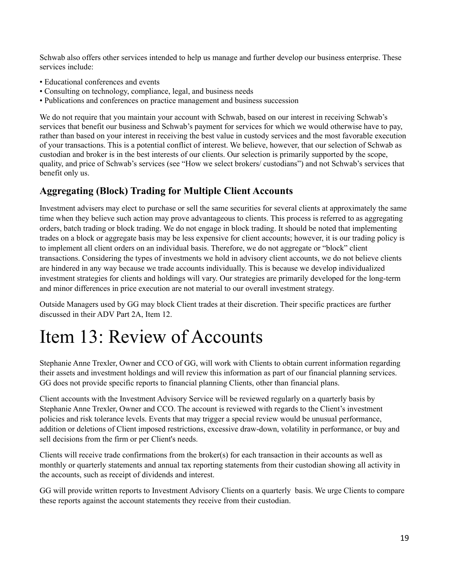Schwab also offers other services intended to help us manage and further develop our business enterprise. These services include:

- Educational conferences and events
- Consulting on technology, compliance, legal, and business needs
- Publications and conferences on practice management and business succession

We do not require that you maintain your account with Schwab, based on our interest in receiving Schwab's services that benefit our business and Schwab's payment for services for which we would otherwise have to pay, rather than based on your interest in receiving the best value in custody services and the most favorable execution of your transactions. This is a potential conflict of interest. We believe, however, that our selection of Schwab as custodian and broker is in the best interests of our clients. Our selection is primarily supported by the scope, quality, and price of Schwab's services (see "How we select brokers/ custodians") and not Schwab's services that benefit only us.

## **Aggregating (Block) Trading for Multiple Client Accounts**

Investment advisers may elect to purchase or sell the same securities for several clients at approximately the same time when they believe such action may prove advantageous to clients. This process is referred to as aggregating orders, batch trading or block trading. We do not engage in block trading. It should be noted that implementing trades on a block or aggregate basis may be less expensive for client accounts; however, it is our trading policy is to implement all client orders on an individual basis. Therefore, we do not aggregate or "block" client transactions. Considering the types of investments we hold in advisory client accounts, we do not believe clients are hindered in any way because we trade accounts individually. This is because we develop individualized investment strategies for clients and holdings will vary. Our strategies are primarily developed for the long-term and minor differences in price execution are not material to our overall investment strategy.

Outside Managers used by GG may block Client trades at their discretion. Their specific practices are further discussed in their ADV Part 2A, Item 12.

# <span id="page-18-0"></span>Item 13: Review of Accounts

Stephanie Anne Trexler, Owner and CCO of GG, will work with Clients to obtain current information regarding their assets and investment holdings and will review this information as part of our financial planning services. GG does not provide specific reports to financial planning Clients, other than financial plans.

Client accounts with the Investment Advisory Service will be reviewed regularly on a quarterly basis by Stephanie Anne Trexler, Owner and CCO. The account is reviewed with regards to the Client's investment policies and risk tolerance levels. Events that may trigger a special review would be unusual performance, addition or deletions of Client imposed restrictions, excessive draw-down, volatility in performance, or buy and sell decisions from the firm or per Client's needs.

Clients will receive trade confirmations from the broker(s) for each transaction in their accounts as well as monthly or quarterly statements and annual tax reporting statements from their custodian showing all activity in the accounts, such as receipt of dividends and interest.

GG will provide written reports to Investment Advisory Clients on a quarterly basis. We urge Clients to compare these reports against the account statements they receive from their custodian.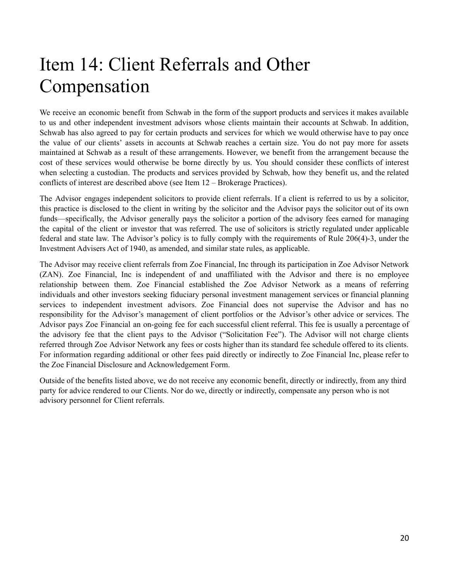# <span id="page-19-1"></span>Item 14: Client Referrals and Other Compensation

We receive an economic benefit from Schwab in the form of the support products and services it makes available to us and other independent investment advisors whose clients maintain their accounts at Schwab. In addition, Schwab has also agreed to pay for certain products and services for which we would otherwise have to pay once the value of our clients' assets in accounts at Schwab reaches a certain size. You do not pay more for assets maintained at Schwab as a result of these arrangements. However, we benefit from the arrangement because the cost of these services would otherwise be borne directly by us. You should consider these conflicts of interest when selecting a custodian. The products and services provided by Schwab, how they benefit us, and the related conflicts of interest are described above (see Item 12 – Brokerage Practices).

<span id="page-19-0"></span>The Advisor engages independent solicitors to provide client referrals. If a client is referred to us by a solicitor, this practice is disclosed to the client in writing by the solicitor and the Advisor pays the solicitor out of its own funds—specifically, the Advisor generally pays the solicitor a portion of the advisory fees earned for managing the capital of the client or investor that was referred. The use of solicitors is strictly regulated under applicable federal and state law. The Advisor's policy is to fully comply with the requirements of Rule 206(4)-3, under the Investment Advisers Act of 1940, as amended, and similar state rules, as applicable.

The Advisor may receive client referrals from Zoe Financial, Inc through its participation in Zoe Advisor Network (ZAN). Zoe Financial, Inc is independent of and unaffiliated with the Advisor and there is no employee relationship between them. Zoe Financial established the Zoe Advisor Network as a means of referring individuals and other investors seeking fiduciary personal investment management services or financial planning services to independent investment advisors. Zoe Financial does not supervise the Advisor and has no responsibility for the Advisor's management of client portfolios or the Advisor's other advice or services. The Advisor pays Zoe Financial an on-going fee for each successful client referral. This fee is usually a percentage of the advisory fee that the client pays to the Advisor ("Solicitation Fee"). The Advisor will not charge clients referred through Zoe Advisor Network any fees or costs higher than its standard fee schedule offered to its clients. For information regarding additional or other fees paid directly or indirectly to Zoe Financial Inc, please refer to the Zoe Financial Disclosure and Acknowledgement Form.

<span id="page-19-2"></span>Outside of the benefits listed above, we do not receive any economic benefit, directly or indirectly, from any third party for advice rendered to our Clients. Nor do we, directly or indirectly, compensate any person who is not advisory personnel for Client referrals.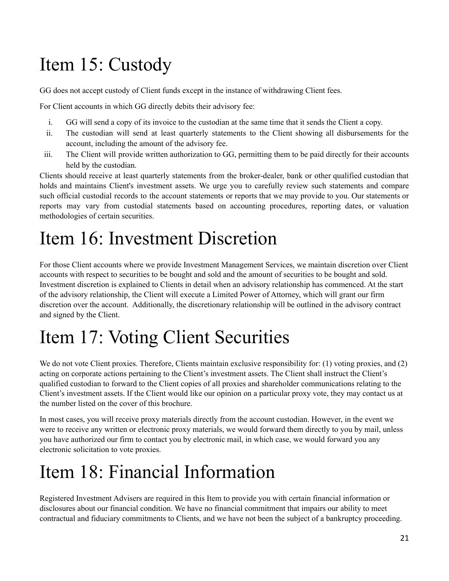# Item 15: Custody

GG does not accept custody of Client funds except in the instance of withdrawing Client fees.

For Client accounts in which GG directly debits their advisory fee:

- i. GG will send a copy of its invoice to the custodian at the same time that it sends the Client a copy.
- ii. The custodian will send at least quarterly statements to the Client showing all disbursements for the account, including the amount of the advisory fee.
- iii. The Client will provide written authorization to GG, permitting them to be paid directly for their accounts held by the custodian.

Clients should receive at least quarterly statements from the broker-dealer, bank or other qualified custodian that holds and maintains Client's investment assets. We urge you to carefully review such statements and compare such official custodial records to the account statements or reports that we may provide to you. Our statements or reports may vary from custodial statements based on accounting procedures, reporting dates, or valuation methodologies of certain securities.

# <span id="page-20-0"></span>Item 16: Investment Discretion

For those Client accounts where we provide Investment Management Services, we maintain discretion over Client accounts with respect to securities to be bought and sold and the amount of securities to be bought and sold. Investment discretion is explained to Clients in detail when an advisory relationship has commenced. At the start of the advisory relationship, the Client will execute a Limited Power of Attorney, which will grant our firm discretion over the account. Additionally, the discretionary relationship will be outlined in the advisory contract and signed by the Client.

# <span id="page-20-1"></span>Item 17: Voting Client Securities

We do not vote Client proxies. Therefore, Clients maintain exclusive responsibility for: (1) voting proxies, and (2) acting on corporate actions pertaining to the Client's investment assets. The Client shall instruct the Client's qualified custodian to forward to the Client copies of all proxies and shareholder communications relating to the Client's investment assets. If the Client would like our opinion on a particular proxy vote, they may contact us at the number listed on the cover of this brochure.

In most cases, you will receive proxy materials directly from the account custodian. However, in the event we were to receive any written or electronic proxy materials, we would forward them directly to you by mail, unless you have authorized our firm to contact you by electronic mail, in which case, we would forward you any electronic solicitation to vote proxies.

# <span id="page-20-2"></span>Item 18: Financial Information

Registered Investment Advisers are required in this Item to provide you with certain financial information or disclosures about our financial condition. We have no financial commitment that impairs our ability to meet contractual and fiduciary commitments to Clients, and we have not been the subject of a bankruptcy proceeding.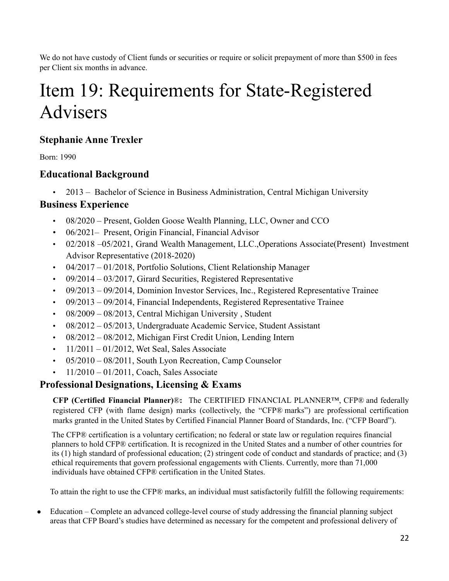We do not have custody of Client funds or securities or require or solicit prepayment of more than \$500 in fees per Client six months in advance.

# <span id="page-21-0"></span>Item 19: Requirements for State-Registered Advisers

## **Stephanie Anne Trexler**

Born: 1990

## **Educational Background**

• 2013 – Bachelor of Science in Business Administration, Central Michigan University

## **Business Experience**

- 08/2020 Present, Golden Goose Wealth Planning, LLC, Owner and CCO
- 06/2021– Present, Origin Financial, Financial Advisor
- 02/2018 –05/2021, Grand Wealth Management, LLC.,Operations Associate(Present) Investment Advisor Representative (2018-2020)
- 04/2017 01/2018, Portfolio Solutions, Client Relationship Manager
- 09/2014 03/2017, Girard Securities, Registered Representative
- 09/2013 09/2014, Dominion Investor Services, Inc., Registered Representative Trainee
- 09/2013 09/2014, Financial Independents, Registered Representative Trainee
- 08/2009 08/2013, Central Michigan University , Student
- 08/2012 05/2013, Undergraduate Academic Service, Student Assistant
- 08/2012 08/2012, Michigan First Credit Union, Lending Intern
- $\cdot$  11/2011 01/2012, Wet Seal, Sales Associate
- 05/2010 08/2011, South Lyon Recreation, Camp Counselor
- $\cdot$  11/2010 01/2011, Coach, Sales Associate

## **Professional Designations, Licensing & Exams**

**CFP (Certified Financial Planner)**®**:** The CERTIFIED FINANCIAL PLANNER™, CFP® and federally registered CFP (with flame design) marks (collectively, the "CFP® marks") are professional certification marks granted in the United States by Certified Financial Planner Board of Standards, Inc. ("CFP Board").

The CFP® certification is a voluntary certification; no federal or state law or regulation requires financial planners to hold CFP® certification. It is recognized in the United States and a number of other countries for its (1) high standard of professional education; (2) stringent code of conduct and standards of practice; and (3) ethical requirements that govern professional engagements with Clients. Currently, more than 71,000 individuals have obtained CFP® certification in the United States.

To attain the right to use the CFP® marks, an individual must satisfactorily fulfill the following requirements:

• Education – Complete an advanced college-level course of study addressing the financial planning subject areas that CFP Board's studies have determined as necessary for the competent and professional delivery of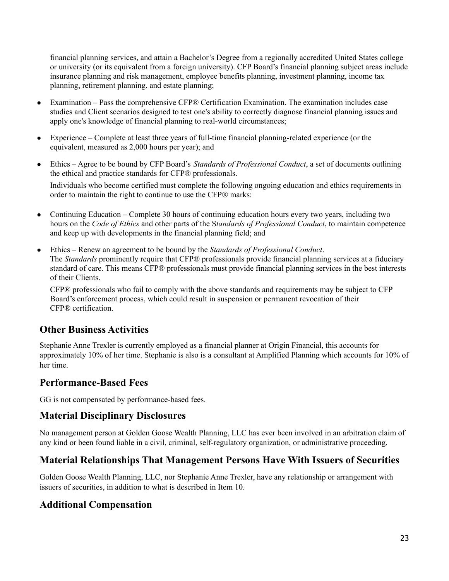financial planning services, and attain a Bachelor's Degree from a regionally accredited United States college or university (or its equivalent from a foreign university). CFP Board's financial planning subject areas include insurance planning and risk management, employee benefits planning, investment planning, income tax planning, retirement planning, and estate planning;

- Examination Pass the comprehensive CFP® Certification Examination. The examination includes case studies and Client scenarios designed to test one's ability to correctly diagnose financial planning issues and apply one's knowledge of financial planning to real-world circumstances;
- Experience Complete at least three years of full-time financial planning-related experience (or the equivalent, measured as 2,000 hours per year); and
- Ethics Agree to be bound by CFP Board's *Standards of Professional Conduct*, a set of documents outlining the ethical and practice standards for CFP® professionals.

Individuals who become certified must complete the following ongoing education and ethics requirements in order to maintain the right to continue to use the CFP® marks:

- Continuing Education Complete 30 hours of continuing education hours every two years, including two hours on the *Code of Ethics* and other parts of the S*tandards of Professional Conduct*, to maintain competence and keep up with developments in the financial planning field; and
- Ethics Renew an agreement to be bound by the *Standards of Professional Conduct*. The *Standards* prominently require that CFP® professionals provide financial planning services at a fiduciary standard of care. This means CFP® professionals must provide financial planning services in the best interests of their Clients.

CFP® professionals who fail to comply with the above standards and requirements may be subject to CFP Board's enforcement process, which could result in suspension or permanent revocation of their CFP® certification.

## **Other Business Activities**

Stephanie Anne Trexler is currently employed as a financial planner at Origin Financial, this accounts for approximately 10% of her time. Stephanie is also is a consultant at Amplified Planning which accounts for 10% of her time.

## **Performance-Based Fees**

GG is not compensated by performance-based fees.

## **Material Disciplinary Disclosures**

No management person at Golden Goose Wealth Planning, LLC has ever been involved in an arbitration claim of any kind or been found liable in a civil, criminal, self-regulatory organization, or administrative proceeding.

## **Material Relationships That Management Persons Have With Issuers of Securities**

Golden Goose Wealth Planning, LLC, nor Stephanie Anne Trexler, have any relationship or arrangement with issuers of securities, in addition to what is described in Item 10.

## **Additional Compensation**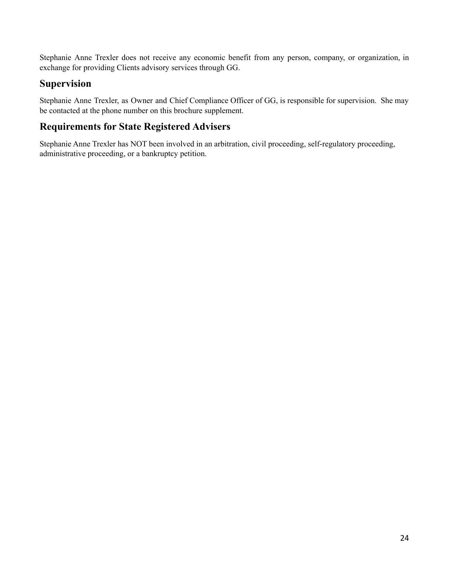Stephanie Anne Trexler does not receive any economic benefit from any person, company, or organization, in exchange for providing Clients advisory services through GG.

## **Supervision**

Stephanie Anne Trexler, as Owner and Chief Compliance Officer of GG, is responsible for supervision. She may be contacted at the phone number on this brochure supplement.

## **Requirements for State Registered Advisers**

Stephanie Anne Trexler has NOT been involved in an arbitration, civil proceeding, self-regulatory proceeding, administrative proceeding, or a bankruptcy petition.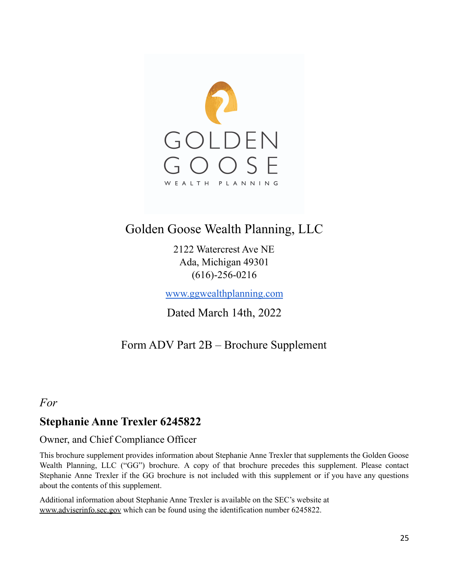

## Golden Goose Wealth Planning, LLC

2122 Watercrest Ave NE Ada, Michigan 49301 (616)-256-0216

[www.ggwealthplanning.com](http://www.ggwealthplanning.com/)

Dated March 14th, 2022

## Form ADV Part 2B – Brochure Supplement

## <span id="page-24-0"></span>*For*

## **Stephanie Anne Trexler 6245822**

## Owner, and Chief Compliance Officer

This brochure supplement provides information about Stephanie Anne Trexler that supplements the Golden Goose Wealth Planning, LLC ("GG") brochure. A copy of that brochure precedes this supplement. Please contact Stephanie Anne Trexler if the GG brochure is not included with this supplement or if you have any questions about the contents of this supplement.

Additional information about Stephanie Anne Trexler is available on the SEC's website at [www.adviserinfo.sec.gov](http://www.adviserinfo.sec.gov) which can be found using the identification number 6245822.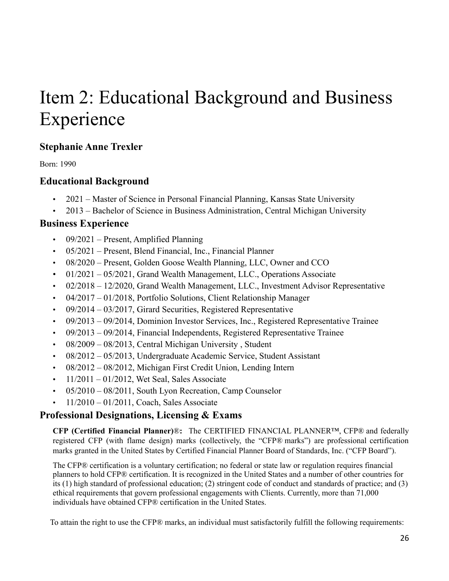# Item 2: Educational Background and Business Experience

## **Stephanie Anne Trexler**

Born: 1990

## **Educational Background**

- 2021 Master of Science in Personal Financial Planning, Kansas State University
- 2013 Bachelor of Science in Business Administration, Central Michigan University

## **Business Experience**

- 09/2021 Present, Amplified Planning
- 05/2021 Present, Blend Financial, Inc., Financial Planner
- 08/2020 Present, Golden Goose Wealth Planning, LLC, Owner and CCO
- 01/2021 05/2021, Grand Wealth Management, LLC., Operations Associate
- 02/2018 12/2020, Grand Wealth Management, LLC., Investment Advisor Representative
- 04/2017 01/2018, Portfolio Solutions, Client Relationship Manager
- $\cdot$  09/2014 03/2017, Girard Securities, Registered Representative
- 09/2013 09/2014, Dominion Investor Services, Inc., Registered Representative Trainee
- 09/2013 09/2014, Financial Independents, Registered Representative Trainee
- 08/2009 08/2013, Central Michigan University , Student
- 08/2012 05/2013, Undergraduate Academic Service, Student Assistant
- 08/2012 08/2012, Michigan First Credit Union, Lending Intern
- $\cdot$  11/2011 01/2012, Wet Seal, Sales Associate
- 05/2010 08/2011, South Lyon Recreation, Camp Counselor
- 11/2010 01/2011, Coach, Sales Associate

## **Professional Designations, Licensing & Exams**

**CFP (Certified Financial Planner)**®**:** The CERTIFIED FINANCIAL PLANNER™, CFP® and federally registered CFP (with flame design) marks (collectively, the "CFP® marks") are professional certification marks granted in the United States by Certified Financial Planner Board of Standards, Inc. ("CFP Board").

The CFP® certification is a voluntary certification; no federal or state law or regulation requires financial planners to hold CFP® certification. It is recognized in the United States and a number of other countries for its (1) high standard of professional education; (2) stringent code of conduct and standards of practice; and (3) ethical requirements that govern professional engagements with Clients. Currently, more than 71,000 individuals have obtained CFP® certification in the United States.

To attain the right to use the CFP® marks, an individual must satisfactorily fulfill the following requirements: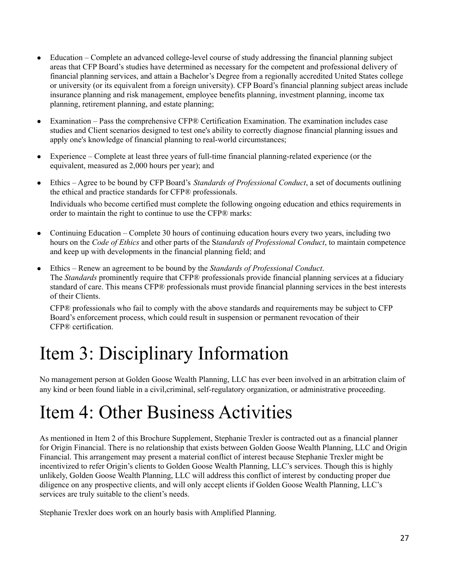- Education Complete an advanced college-level course of study addressing the financial planning subject areas that CFP Board's studies have determined as necessary for the competent and professional delivery of financial planning services, and attain a Bachelor's Degree from a regionally accredited United States college or university (or its equivalent from a foreign university). CFP Board's financial planning subject areas include insurance planning and risk management, employee benefits planning, investment planning, income tax planning, retirement planning, and estate planning;
- Examination Pass the comprehensive CFP® Certification Examination. The examination includes case studies and Client scenarios designed to test one's ability to correctly diagnose financial planning issues and apply one's knowledge of financial planning to real-world circumstances;
- Experience Complete at least three years of full-time financial planning-related experience (or the equivalent, measured as 2,000 hours per year); and
- Ethics Agree to be bound by CFP Board's *Standards of Professional Conduct*, a set of documents outlining the ethical and practice standards for CFP® professionals. Individuals who become certified must complete the following ongoing education and ethics requirements in order to maintain the right to continue to use the CFP® marks:
- Continuing Education Complete 30 hours of continuing education hours every two years, including two hours on the *Code of Ethics* and other parts of the S*tandards of Professional Conduct*, to maintain competence and keep up with developments in the financial planning field; and
- Ethics Renew an agreement to be bound by the *Standards of Professional Conduct*. The *Standards* prominently require that CFP® professionals provide financial planning services at a fiduciary standard of care. This means CFP® professionals must provide financial planning services in the best interests of their Clients.

CFP® professionals who fail to comply with the above standards and requirements may be subject to CFP Board's enforcement process, which could result in suspension or permanent revocation of their CFP® certification.

# Item 3: Disciplinary Information

No management person at Golden Goose Wealth Planning, LLC has ever been involved in an arbitration claim of any kind or been found liable in a civil,criminal, self-regulatory organization, or administrative proceeding.

# Item 4: Other Business Activities

As mentioned in Item 2 of this Brochure Supplement, Stephanie Trexler is contracted out as a financial planner for Origin Financial. There is no relationship that exists between Golden Goose Wealth Planning, LLC and Origin Financial. This arrangement may present a material conflict of interest because Stephanie Trexler might be incentivized to refer Origin's clients to Golden Goose Wealth Planning, LLC's services. Though this is highly unlikely, Golden Goose Wealth Planning, LLC will address this conflict of interest by conducting proper due diligence on any prospective clients, and will only accept clients if Golden Goose Wealth Planning, LLC's services are truly suitable to the client's needs.

Stephanie Trexler does work on an hourly basis with Amplified Planning.